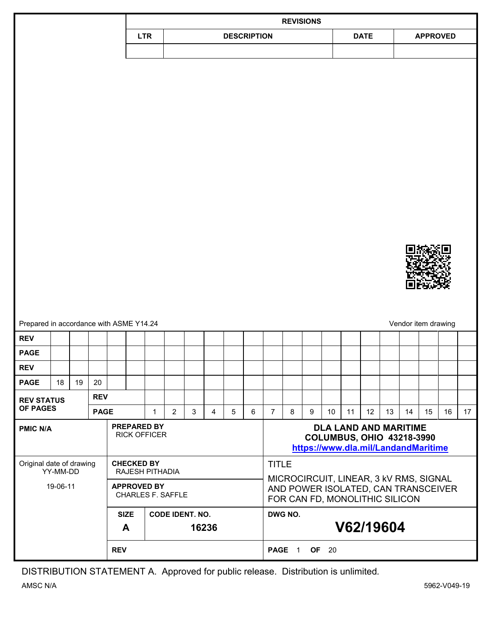|                                            |    |                   |                                    |  |                                  |                        |                     |       |                | <b>REVISIONS</b>                       |                                |                |   |   |                                                                  |           |    |                                     |                                     |                     |    |                 |
|--------------------------------------------|----|-------------------|------------------------------------|--|----------------------------------|------------------------|---------------------|-------|----------------|----------------------------------------|--------------------------------|----------------|---|---|------------------------------------------------------------------|-----------|----|-------------------------------------|-------------------------------------|---------------------|----|-----------------|
|                                            |    |                   |                                    |  | <b>LTR</b><br><b>DESCRIPTION</b> |                        |                     |       |                |                                        | <b>DATE</b>                    |                |   |   | <b>APPROVED</b>                                                  |           |    |                                     |                                     |                     |    |                 |
|                                            |    |                   |                                    |  |                                  |                        |                     |       |                |                                        |                                |                |   |   |                                                                  |           |    |                                     |                                     |                     |    |                 |
|                                            |    |                   |                                    |  |                                  |                        |                     |       |                |                                        |                                |                |   |   |                                                                  |           |    |                                     |                                     |                     |    |                 |
|                                            |    |                   |                                    |  |                                  |                        |                     |       |                |                                        |                                |                |   |   |                                                                  |           |    |                                     |                                     |                     |    |                 |
|                                            |    |                   |                                    |  |                                  |                        |                     |       |                |                                        |                                |                |   |   |                                                                  |           |    |                                     |                                     |                     |    |                 |
|                                            |    |                   |                                    |  |                                  |                        |                     |       |                |                                        |                                |                |   |   |                                                                  |           |    |                                     |                                     |                     |    |                 |
|                                            |    |                   |                                    |  |                                  |                        |                     |       |                |                                        |                                |                |   |   |                                                                  |           |    |                                     |                                     |                     |    |                 |
|                                            |    |                   |                                    |  |                                  |                        |                     |       |                |                                        |                                |                |   |   |                                                                  |           |    |                                     |                                     |                     |    |                 |
|                                            |    |                   |                                    |  |                                  |                        |                     |       |                |                                        |                                |                |   |   |                                                                  |           |    |                                     |                                     |                     |    |                 |
|                                            |    |                   |                                    |  |                                  |                        |                     |       |                |                                        |                                |                |   |   |                                                                  |           |    |                                     |                                     |                     |    |                 |
|                                            |    |                   |                                    |  |                                  |                        |                     |       |                |                                        |                                |                |   |   |                                                                  |           |    |                                     |                                     |                     |    |                 |
|                                            |    |                   |                                    |  |                                  |                        |                     |       |                |                                        |                                |                |   |   |                                                                  |           |    |                                     |                                     |                     |    |                 |
|                                            |    |                   |                                    |  |                                  |                        |                     |       |                |                                        |                                |                |   |   |                                                                  |           |    |                                     |                                     |                     |    |                 |
|                                            |    |                   |                                    |  |                                  |                        |                     |       |                |                                        |                                |                |   |   |                                                                  |           |    |                                     |                                     |                     |    |                 |
|                                            |    |                   |                                    |  |                                  |                        |                     |       |                |                                        |                                |                |   |   |                                                                  |           |    |                                     |                                     |                     |    |                 |
|                                            |    |                   |                                    |  |                                  |                        |                     |       |                |                                        |                                |                |   |   |                                                                  |           |    |                                     |                                     |                     |    |                 |
|                                            |    |                   |                                    |  |                                  |                        |                     |       |                |                                        |                                |                |   |   |                                                                  |           |    |                                     |                                     |                     |    |                 |
|                                            |    |                   |                                    |  |                                  |                        |                     |       |                |                                        |                                |                |   |   |                                                                  |           |    |                                     |                                     |                     |    |                 |
|                                            |    |                   |                                    |  |                                  |                        |                     |       |                |                                        |                                |                |   |   |                                                                  |           |    |                                     |                                     |                     |    |                 |
| Prepared in accordance with ASME Y14.24    |    |                   |                                    |  |                                  |                        |                     |       |                |                                        |                                |                |   |   |                                                                  |           |    |                                     |                                     | Vendor item drawing |    |                 |
| <b>REV</b>                                 |    |                   |                                    |  |                                  |                        |                     |       |                |                                        |                                |                |   |   |                                                                  |           |    |                                     |                                     |                     |    |                 |
| <b>PAGE</b>                                |    |                   |                                    |  |                                  |                        |                     |       |                |                                        |                                |                |   |   |                                                                  |           |    |                                     |                                     |                     |    |                 |
| <b>REV</b>                                 |    |                   |                                    |  |                                  |                        |                     |       |                |                                        |                                |                |   |   |                                                                  |           |    |                                     |                                     |                     |    |                 |
| <b>PAGE</b>                                | 18 | 19                | 20                                 |  |                                  |                        |                     |       |                |                                        |                                |                |   |   |                                                                  |           |    |                                     |                                     |                     |    |                 |
| <b>REV STATUS</b><br><b>OF PAGES</b>       |    |                   | <b>REV</b>                         |  |                                  |                        |                     |       |                |                                        |                                |                |   |   |                                                                  |           |    |                                     |                                     |                     |    |                 |
|                                            |    |                   | <b>PAGE</b>                        |  |                                  | $\mathbf{1}$           | $\overline{2}$      | 3     | $\overline{4}$ | 5                                      | 6                              | $\overline{7}$ | 8 | 9 | 10                                                               | 11        | 12 | 13                                  | 14                                  | 15                  | 16 | 17 <sup>2</sup> |
| <b>PMIC N/A</b>                            |    |                   | PREPARED BY<br><b>RICK OFFICER</b> |  |                                  |                        |                     |       |                |                                        |                                |                |   |   | <b>DLA LAND AND MARITIME</b><br><b>COLUMBUS, OHIO 43218-3990</b> |           |    |                                     |                                     |                     |    |                 |
|                                            |    |                   |                                    |  |                                  |                        |                     |       |                |                                        |                                |                |   |   |                                                                  |           |    | https://www.dla.mil/LandandMaritime |                                     |                     |    |                 |
| Original date of drawing                   |    | <b>CHECKED BY</b> |                                    |  |                                  |                        |                     |       | <b>TITLE</b>   |                                        |                                |                |   |   |                                                                  |           |    |                                     |                                     |                     |    |                 |
| YY-MM-DD<br>19-06-11<br><b>APPROVED BY</b> |    |                   | RAJESH PITHADIA                    |  |                                  |                        |                     |       |                | MICROCIRCUIT, LINEAR, 3 KV RMS, SIGNAL |                                |                |   |   |                                                                  |           |    |                                     |                                     |                     |    |                 |
|                                            |    |                   |                                    |  | <b>CHARLES F. SAFFLE</b>         |                        |                     |       |                |                                        | FOR CAN FD, MONOLITHIC SILICON |                |   |   |                                                                  |           |    |                                     | AND POWER ISOLATED, CAN TRANSCEIVER |                     |    |                 |
|                                            |    |                   |                                    |  |                                  | <b>CODE IDENT. NO.</b> |                     |       |                |                                        | DWG NO.                        |                |   |   |                                                                  |           |    |                                     |                                     |                     |    |                 |
| <b>SIZE</b><br>A                           |    |                   |                                    |  |                                  |                        |                     | 16236 |                |                                        |                                |                |   |   |                                                                  | V62/19604 |    |                                     |                                     |                     |    |                 |
|                                            |    |                   |                                    |  |                                  |                        |                     |       |                |                                        |                                |                |   |   |                                                                  |           |    |                                     |                                     |                     |    |                 |
| <b>REV</b>                                 |    |                   |                                    |  |                                  |                        | <b>PAGE 1 OF 20</b> |       |                |                                        |                                |                |   |   |                                                                  |           |    |                                     |                                     |                     |    |                 |

DISTRIBUTION STATEMENT A. Approved for public release. Distribution is unlimited*.*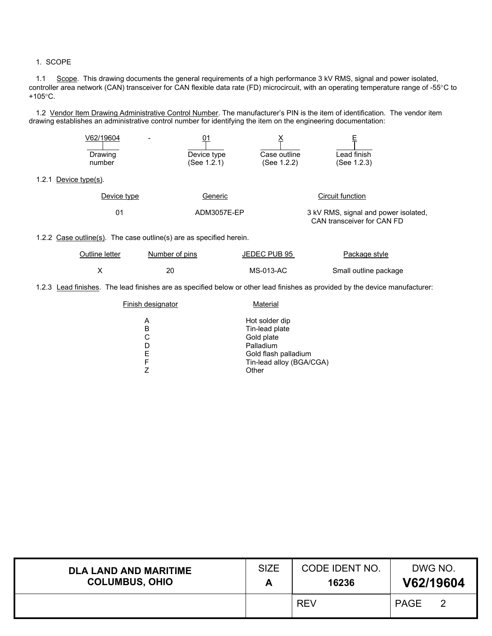#### 1. SCOPE

 $1.2.1$ 

1.1 Scope. This drawing documents the general requirements of a high performance 3 kV RMS, signal and power isolated, controller area network (CAN) transceiver for CAN flexible data rate (FD) microcircuit, with an operating temperature range of -55°C to +105°C.

1.2 Vendor Item Drawing Administrative Control Number. The manufacturer's PIN is the item of identification. The vendor item drawing establishes an administrative control number for identifying the item on the engineering documentation:

|       | V62/19604       |                                                                     |              |                                                                    |
|-------|-----------------|---------------------------------------------------------------------|--------------|--------------------------------------------------------------------|
|       | Drawing         | Device type                                                         | Case outline | Lead finish                                                        |
|       | number          | (See 1.2.1)                                                         | (See 1.2.2)  | (See 1.2.3)                                                        |
| 1.2.1 | Device type(s). |                                                                     |              |                                                                    |
|       | Device type     | Generic                                                             |              | <b>Circuit function</b>                                            |
|       | 01              | ADM3057E-EP                                                         |              | 3 kV RMS, signal and power isolated,<br>CAN transceiver for CAN FD |
|       |                 | 1.2.2 Case outline(s). The case outline(s) are as specified herein. |              |                                                                    |
|       | Outline letter  | Number of pins                                                      | JEDEC PUB 95 | Package style                                                      |

1.2.3 Lead finishes. The lead finishes are as specified below or other lead finishes as provided by the device manufacturer:

X 20 20 MS-013-AC Small outline package

| Finish designator | Material                                                                                                                 |
|-------------------|--------------------------------------------------------------------------------------------------------------------------|
| А<br>в<br>F<br>F  | Hot solder dip<br>Tin-lead plate<br>Gold plate<br>Palladium<br>Gold flash palladium<br>Tin-lead alloy (BGA/CGA)<br>Other |
|                   |                                                                                                                          |

| <b>DLA LAND AND MARITIME</b> | <b>SIZE</b> | CODE IDENT NO. | DWG NO.     |  |  |
|------------------------------|-------------|----------------|-------------|--|--|
| <b>COLUMBUS, OHIO</b>        | Α           | 16236          | V62/19604   |  |  |
|                              |             | <b>REV</b>     | <b>PAGE</b> |  |  |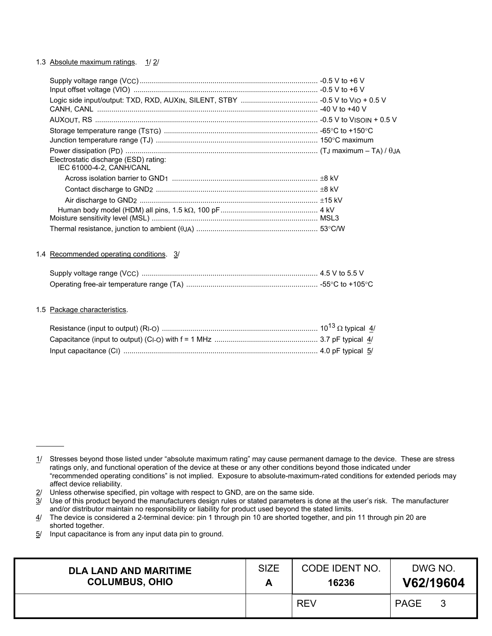## 1.3 Absolute maximum ratings. 1/2/

| Electrostatic discharge (ESD) rating:<br>IEC 61000-4-2. CANH/CANL |  |
|-------------------------------------------------------------------|--|
|                                                                   |  |
|                                                                   |  |
|                                                                   |  |
|                                                                   |  |
|                                                                   |  |
|                                                                   |  |

#### 1.4 Recommended operating conditions. 3/

### 1.5 Package characteristics.

 $\overline{a}$ 

 $2/$  Unless otherwise specified, pin voltage with respect to GND, are on the same side.

 $5/$  Input capacitance is from any input data pin to ground.

| <b>DLA LAND AND MARITIME</b> | <b>SIZE</b> | CODE IDENT NO. | DWG NO.     |  |  |
|------------------------------|-------------|----------------|-------------|--|--|
| <b>COLUMBUS, OHIO</b>        |             | 16236          | V62/19604   |  |  |
|                              |             | <b>REV</b>     | <b>PAGE</b> |  |  |

 $1/$  Stresses beyond those listed under "absolute maximum rating" may cause permanent damage to the device. These are stress ratings only, and functional operation of the device at these or any other conditions beyond those indicated under "recommended operating conditions" is not implied. Exposure to absolute-maximum-rated conditions for extended periods may affect device reliability.

<sup>3/</sup> Use of this product beyond the manufacturers design rules or stated parameters is done at the user's risk. The manufacturer and/or distributor maintain no responsibility or liability for product used beyond the stated limits.

<sup>4/</sup> The device is considered a 2-terminal device: pin 1 through pin 10 are shorted together, and pin 11 through pin 20 are shorted together.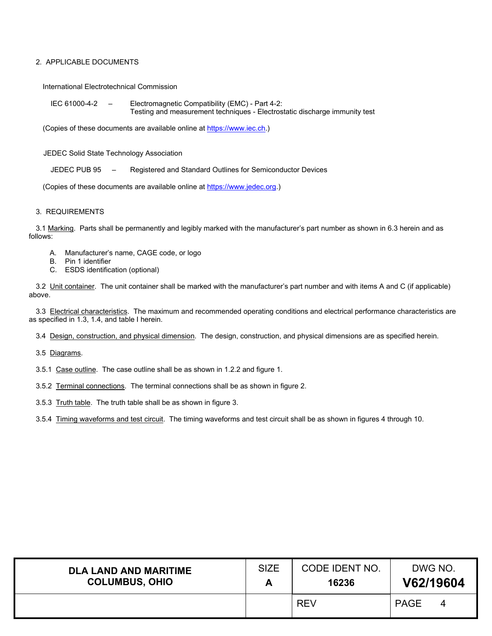## 2. APPLICABLE DOCUMENTS

International Electrotechnical Commission

IEC 61000-4-2 – Electromagnetic Compatibility (EMC) - Part 4-2: Testing and measurement techniques - Electrostatic discharge immunity test

(Copies of these documents are available online at [https://www.iec.ch.\)](https://www.iec.ch/)

JEDEC Solid State Technology Association

JEDEC PUB 95 – Registered and Standard Outlines for Semiconductor Devices

(Copies of these documents are available online at [https://www.jedec.org.](https://www.jedec.org/))

#### 3. REQUIREMENTS

3.1 Marking. Parts shall be permanently and legibly marked with the manufacturer's part number as shown in 6.3 herein and as follows:

- A. Manufacturer's name, CAGE code, or logo
- B. Pin 1 identifier
- C. ESDS identification (optional)

3.2 Unit container. The unit container shall be marked with the manufacturer's part number and with items A and C (if applicable) above.

3.3 Electrical characteristics. The maximum and recommended operating conditions and electrical performance characteristics are as specified in 1.3, 1.4, and table I herein.

3.4 Design, construction, and physical dimension. The design, construction, and physical dimensions are as specified herein.

3.5 Diagrams.

3.5.1 Case outline. The case outline shall be as shown in 1.2.2 and figure 1.

3.5.2 Terminal connections. The terminal connections shall be as shown in figure 2.

3.5.3 Truth table. The truth table shall be as shown in figure 3.

3.5.4 Timing waveforms and test circuit. The timing waveforms and test circuit shall be as shown in figures 4 through 10.

| <b>DLA LAND AND MARITIME</b> | <b>SIZE</b> | CODE IDENT NO. | DWG NO.     |
|------------------------------|-------------|----------------|-------------|
| <b>COLUMBUS, OHIO</b>        |             | 16236          | V62/19604   |
|                              |             | <b>REV</b>     | <b>PAGE</b> |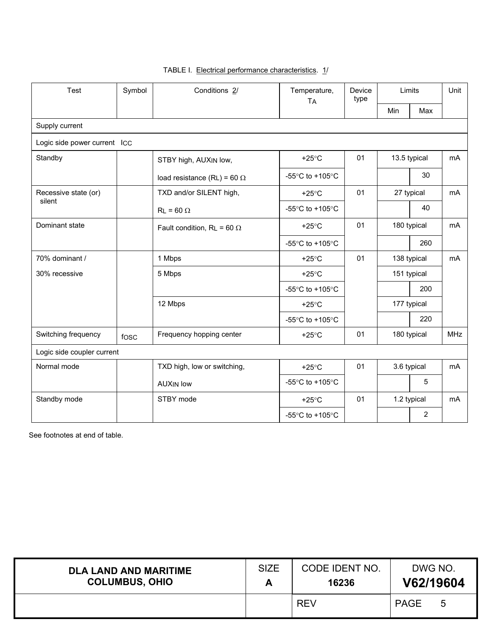| Test                         | Symbol | Conditions 2/                      | Temperature,<br><b>TA</b>                             | Device<br>type | Limits       |                | Unit           |
|------------------------------|--------|------------------------------------|-------------------------------------------------------|----------------|--------------|----------------|----------------|
|                              |        |                                    |                                                       |                | Min          | Max            |                |
| Supply current               |        |                                    |                                                       |                |              |                |                |
| Logic side power current ICC |        |                                    |                                                       |                |              |                |                |
| Standby                      |        | STBY high, AUXIN low,              | $+25^{\circ}$ C                                       | 01             | 13.5 typical |                | m <sub>A</sub> |
|                              |        | load resistance (RL) = 60 $\Omega$ | -55 $\degree$ C to +105 $\degree$ C                   |                |              | 30             |                |
| Recessive state (or)         |        | TXD and/or SILENT high,            | $+25^{\circ}$ C                                       | 01             | 27 typical   |                | mA             |
| silent                       |        | $RL = 60 \Omega$                   | -55 $\mathrm{^{\circ}C}$ to +105 $\mathrm{^{\circ}C}$ |                |              | 40             |                |
| Dominant state               |        | Fault condition, RL = 60 $\Omega$  | $+25^{\circ}$ C                                       | 01             | 180 typical  |                | m <sub>A</sub> |
|                              |        |                                    | -55°C to +105°C                                       |                |              | 260            |                |
| 70% dominant /               |        | 1 Mbps                             | $+25^{\circ}$ C                                       | 01             | 138 typical  |                | mA             |
| 30% recessive                |        | 5 Mbps                             | $+25^{\circ}$ C                                       |                | 151 typical  |                |                |
|                              |        |                                    | -55°C to +105°C                                       |                |              | 200            |                |
|                              |        | 12 Mbps                            | $+25^{\circ}$ C                                       |                |              | 177 typical    |                |
|                              |        |                                    | -55°C to +105°C                                       |                |              | 220            |                |
| Switching frequency          | fosc   | Frequency hopping center           | $+25^{\circ}$ C                                       | 01             |              | 180 typical    | <b>MHz</b>     |
| Logic side coupler current   |        |                                    |                                                       |                |              |                |                |
| Normal mode                  |        | TXD high, low or switching,        | $+25^{\circ}$ C                                       | 01             |              | 3.6 typical    | mA             |
|                              |        | <b>AUXIN low</b>                   | -55°C to +105°C                                       |                |              | 5              |                |
| Standby mode                 |        | STBY mode                          | $+25^{\circ}$ C                                       | 01             |              | 1.2 typical    | mA             |
|                              |        |                                    | -55°C to +105°C                                       |                |              | $\overline{2}$ |                |

## TABLE I. Electrical performance characteristics. 1/

| <b>DLA LAND AND MARITIME</b> | <b>SIZE</b> | CODE IDENT NO. | DWG NO.     |  |  |
|------------------------------|-------------|----------------|-------------|--|--|
| <b>COLUMBUS, OHIO</b>        |             | 16236          | V62/19604   |  |  |
|                              |             | <b>REV</b>     | <b>PAGE</b> |  |  |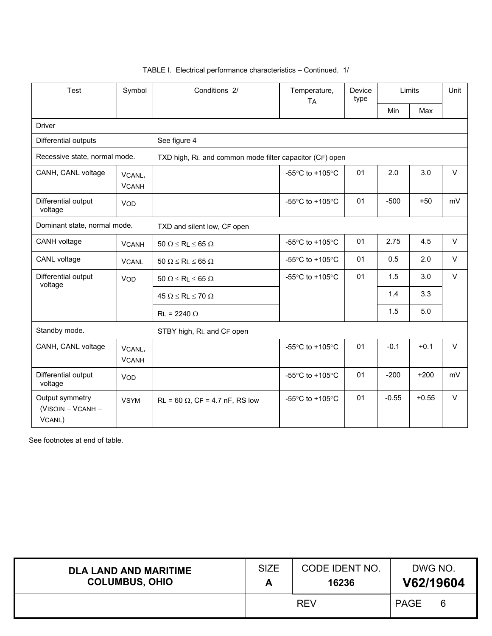| Test<br>Symbol                                 |                        | Conditions 2/                                           | Temperature,<br><b>TA</b>                             | Device<br>type | Limits  |         | Unit   |  |  |  |
|------------------------------------------------|------------------------|---------------------------------------------------------|-------------------------------------------------------|----------------|---------|---------|--------|--|--|--|
|                                                |                        |                                                         |                                                       |                | Min     | Max     |        |  |  |  |
| <b>Driver</b>                                  |                        |                                                         |                                                       |                |         |         |        |  |  |  |
| Differential outputs                           |                        | See figure 4                                            |                                                       |                |         |         |        |  |  |  |
| Recessive state, normal mode.                  |                        | TXD high, RL and common mode filter capacitor (CF) open |                                                       |                |         |         |        |  |  |  |
| CANH, CANL voltage                             | VCANL,<br><b>VCANH</b> |                                                         | -55°C to +105°C                                       | 01             | 2.0     | 3.0     | $\vee$ |  |  |  |
| Differential output<br>voltage                 | <b>VOD</b>             |                                                         | -55 $\mathrm{^{\circ}C}$ to +105 $\mathrm{^{\circ}C}$ | 01             | $-500$  | $+50$   | mV     |  |  |  |
| Dominant state, normal mode.                   |                        | TXD and silent low, CF open                             |                                                       |                |         |         |        |  |  |  |
| CANH voltage                                   | <b>VCANH</b>           | $50 \Omega \le R_L \le 65 \Omega$                       | -55 $\degree$ C to +105 $\degree$ C                   | 01             | 2.75    | 4.5     | $\vee$ |  |  |  |
| CANL voltage                                   | <b>VCANL</b>           | $50 \Omega \le R_L \le 65 \Omega$                       | -55 $\degree$ C to +105 $\degree$ C                   | 01             | 0.5     | 2.0     | $\vee$ |  |  |  |
| Differential output<br>voltage                 | <b>VOD</b>             | $50 \Omega \le R_L \le 65 \Omega$                       | -55 $\degree$ C to +105 $\degree$ C                   | 01             | 1.5     | 3.0     | $\vee$ |  |  |  |
|                                                |                        | $45 \Omega \leq R_L \leq 70 \Omega$                     |                                                       |                | 1.4     | 3.3     |        |  |  |  |
|                                                |                        | $\text{R}_{\text{I}}$ = 2240 $\Omega$                   |                                                       |                | 1.5     | 5.0     |        |  |  |  |
| Standby mode.                                  |                        | STBY high, RL and CF open                               |                                                       |                |         |         |        |  |  |  |
| CANH, CANL voltage                             | VCANL,<br><b>VCANH</b> |                                                         | -55°C to +105°C                                       | 01             | $-0.1$  | $+0.1$  | $\vee$ |  |  |  |
| Differential output<br>voltage                 | <b>VOD</b>             |                                                         | -55 $\mathrm{^{\circ}C}$ to +105 $\mathrm{^{\circ}C}$ | 01             | $-200$  | $+200$  | mV     |  |  |  |
| Output symmetry<br>(VISOIN - VCANH -<br>VCANL) | <b>VSYM</b>            | $RL = 60 \Omega$ , $CF = 4.7$ nF, RS low                | -55 $\degree$ C to +105 $\degree$ C                   | 01             | $-0.55$ | $+0.55$ | $\vee$ |  |  |  |

| <b>DLA LAND AND MARITIME</b> | <b>SIZE</b> | CODE IDENT NO. | DWG NO.     |
|------------------------------|-------------|----------------|-------------|
| <b>COLUMBUS, OHIO</b>        | Δ           | 16236          | V62/19604   |
|                              |             | <b>REV</b>     | <b>PAGE</b> |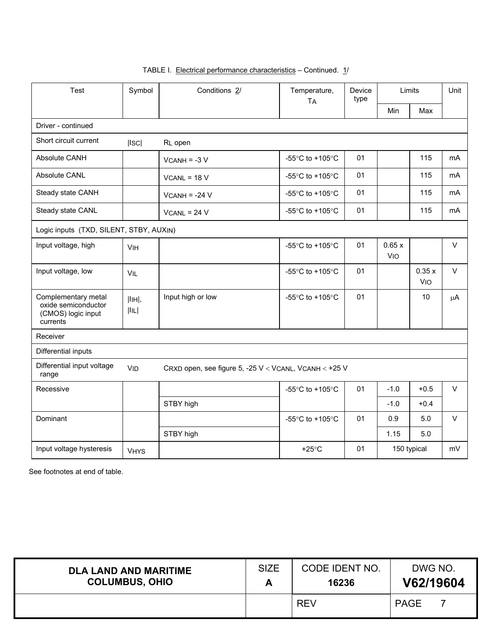| <b>Test</b>                                                                  | Symbol          | Conditions 2/                                         | Temperature,<br><b>TA</b>                             | Device<br>type |                     | Limits              | Unit           |
|------------------------------------------------------------------------------|-----------------|-------------------------------------------------------|-------------------------------------------------------|----------------|---------------------|---------------------|----------------|
|                                                                              |                 |                                                       |                                                       |                | Min                 | Max                 |                |
| Driver - continued                                                           |                 |                                                       |                                                       |                |                     |                     |                |
| Short circuit current                                                        | ISC             | RL open                                               |                                                       |                |                     |                     |                |
| Absolute CANH                                                                |                 | $VCANH = -3 V$                                        | -55°C to +105°C                                       | 01             |                     | 115                 | mA             |
| <b>Absolute CANL</b>                                                         |                 | $VCANL = 18 V$                                        | -55 $\degree$ C to +105 $\degree$ C                   | 01             |                     | 115                 | mA             |
| Steady state CANH                                                            |                 | $VCANH = -24 V$                                       | -55 $\degree$ C to +105 $\degree$ C                   | 01             |                     | 115                 | mA             |
| Steady state CANL                                                            |                 | $VCANL = 24 V$                                        | -55 $\mathrm{^{\circ}C}$ to +105 $\mathrm{^{\circ}C}$ | 01             |                     | 115                 | m <sub>A</sub> |
| Logic inputs (TXD, SILENT, STBY, AUXIN)                                      |                 |                                                       |                                                       |                |                     |                     |                |
| Input voltage, high                                                          | VIH             |                                                       | -55 $\mathrm{^{\circ}C}$ to +105 $\mathrm{^{\circ}C}$ | 01             | 0.65x<br><b>VIO</b> |                     | $\vee$         |
| Input voltage, low                                                           | <b>VIL</b>      |                                                       | -55 $\degree$ C to +105 $\degree$ C                   | 01             |                     | 0.35x<br><b>VIO</b> | $\vee$         |
| Complementary metal<br>oxide semiconductor<br>(CMOS) logic input<br>currents | [IIIH],<br> IIL | Input high or low                                     | -55°C to +105°C                                       | 01             |                     | 10                  | $\mu$ A        |
| Receiver                                                                     |                 |                                                       |                                                       |                |                     |                     |                |
| Differential inputs                                                          |                 |                                                       |                                                       |                |                     |                     |                |
| Differential input voltage<br>range                                          | <b>VID</b>      | CRXD open, see figure 5, -25 V < VCANL, VCANH < +25 V |                                                       |                |                     |                     |                |
| Recessive                                                                    |                 |                                                       | -55°C to +105°C                                       | 01             | $-1.0$              | $+0.5$              | $\vee$         |
|                                                                              |                 | STBY high                                             |                                                       |                | $-1.0$              | $+0.4$              |                |
| Dominant                                                                     |                 |                                                       | -55°C to +105°C                                       | 01             | 0.9                 | 5.0                 | $\vee$         |
|                                                                              |                 | STBY high                                             |                                                       |                | 1.15                | 5.0                 |                |
| Input voltage hysteresis                                                     | <b>VHYS</b>     |                                                       | $+25^{\circ}$ C                                       | 01             |                     | 150 typical         | mV             |

| <b>DLA LAND AND MARITIME</b> | <b>SIZE</b> | CODE IDENT NO. | DWG NO.     |
|------------------------------|-------------|----------------|-------------|
| <b>COLUMBUS, OHIO</b>        |             | 16236          | V62/19604   |
|                              |             | <b>REV</b>     | <b>PAGE</b> |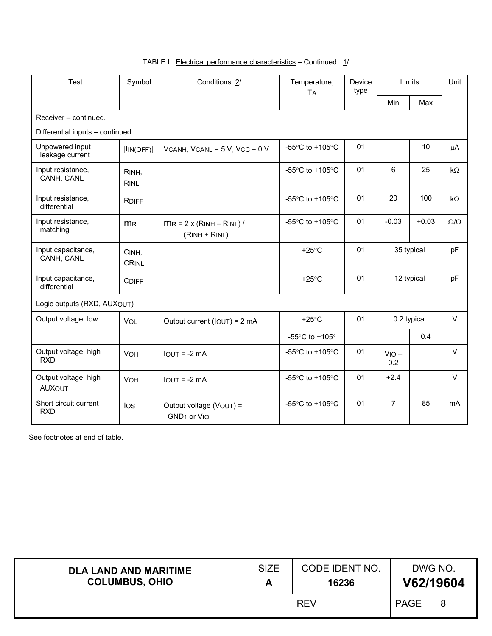| <b>Test</b>                           | Symbol                | Conditions 2/                                      | Temperature,<br><b>TA</b>                             | Device<br>type |                | Limits      |                 |
|---------------------------------------|-----------------------|----------------------------------------------------|-------------------------------------------------------|----------------|----------------|-------------|-----------------|
|                                       |                       |                                                    |                                                       |                | Min            | Max         |                 |
| Receiver - continued.                 |                       |                                                    |                                                       |                |                |             |                 |
| Differential inputs - continued.      |                       |                                                    |                                                       |                |                |             |                 |
| Unpowered input<br>leakage current    | IIN(OFF)              | VCANH, VCANL = $5$ V, VCC = $0$ V                  | -55 $\mathrm{^{\circ}C}$ to +105 $\mathrm{^{\circ}C}$ | 01             |                | 10          | $\mu$ A         |
| Input resistance,<br>CANH, CANL       | RINH.<br><b>RINL</b>  |                                                    | -55 $\degree$ C to +105 $\degree$ C                   | 01             | 6              | 25          | $k\Omega$       |
| Input resistance,<br>differential     | <b>RDIFF</b>          |                                                    | -55 $\degree$ C to +105 $\degree$ C                   | 01             | 20             | 100         | $k\Omega$       |
| Input resistance,<br>matching         | m <sub>R</sub>        | $MR = 2 \times (RINH - RINL)$<br>$(RINH + RINL)$   | -55 $\degree$ C to +105 $\degree$ C                   | 01             | $-0.03$        | $+0.03$     | $\Omega/\Omega$ |
| Input capacitance,<br>CANH, CANL      | CINH,<br><b>CRINL</b> |                                                    | $+25^{\circ}$ C                                       | 01             | 35 typical     |             | pF              |
| Input capacitance,<br>differential    | <b>CDIFF</b>          |                                                    | $+25^{\circ}$ C                                       | 01             |                | 12 typical  | pF              |
| Logic outputs (RXD, AUXOUT)           |                       |                                                    |                                                       |                |                |             |                 |
| Output voltage, low                   | VOL                   | Output current (IOUT) = 2 mA                       | $+25^{\circ}$ C                                       | 01             |                | 0.2 typical | $\vee$          |
|                                       |                       |                                                    | -55 $\mathrm{^{\circ}C}$ to +105 $\mathrm{^{\circ}}$  |                |                | 0.4         |                 |
| Output voltage, high<br><b>RXD</b>    | <b>VOH</b>            | $IOUT = -2 mA$                                     | -55 $\mathrm{^{\circ}C}$ to +105 $\mathrm{^{\circ}C}$ | 01             | $VIO -$<br>0.2 |             | $\vee$          |
| Output voltage, high<br><b>AUXOUT</b> | VOH                   | $I$ OUT = -2 mA                                    | -55 $\mathrm{^{\circ}C}$ to +105 $\mathrm{^{\circ}C}$ | 01             | $+2.4$         |             | $\vee$          |
| Short circuit current<br><b>RXD</b>   | los                   | Output voltage (VOUT) =<br>GND <sub>1</sub> or VIO | -55 $\degree$ C to +105 $\degree$ C                   | 01             | $\overline{7}$ | 85          | mA              |

| <b>DLA LAND AND MARITIME</b><br><b>COLUMBUS, OHIO</b> | <b>SIZE</b><br>Δ<br>Ē | CODE IDENT NO.<br>16236 | DWG NO.<br>V62/19604 |
|-------------------------------------------------------|-----------------------|-------------------------|----------------------|
|                                                       |                       | <b>REV</b>              | <b>PAGE</b>          |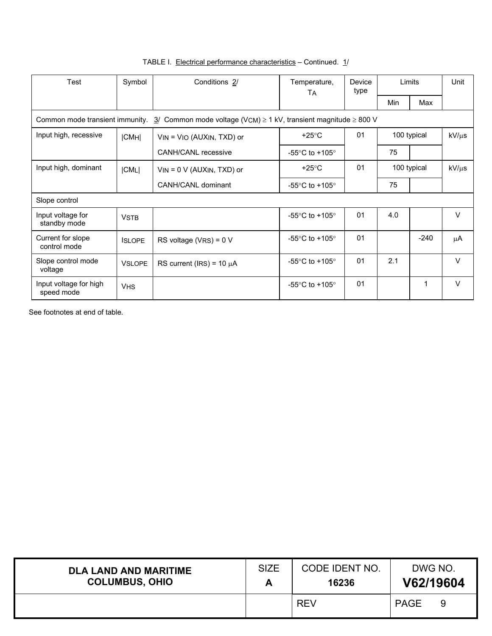| Test                                                                                                         | Symbol        | Conditions 2/                   | Temperature,<br>TA                | Device<br>type | Limits      |             | Unit       |  |
|--------------------------------------------------------------------------------------------------------------|---------------|---------------------------------|-----------------------------------|----------------|-------------|-------------|------------|--|
|                                                                                                              |               |                                 |                                   |                | Min         | Max         |            |  |
| Common mode transient immunity. $3/$ Common mode voltage (VCM) $\geq 1$ kV, transient magnitude $\geq 800$ V |               |                                 |                                   |                |             |             |            |  |
| Input high, recessive                                                                                        | CMH           | $V$ IN = $V$ IO (AUXIN, TXD) or | $+25^{\circ}$ C                   | 0 <sub>1</sub> |             | 100 typical |            |  |
|                                                                                                              |               | <b>CANH/CANL</b> recessive      | -55 $\degree$ C to +105 $\degree$ |                | 75          |             |            |  |
| Input high, dominant                                                                                         | <b>CMLI</b>   | $V$ IN = 0 V (AUXIN, TXD) or    | $+25^{\circ}$ C                   | 01             | 100 typical |             | $kV/\mu s$ |  |
|                                                                                                              |               | CANH/CANL dominant              | -55 $\degree$ C to +105 $\degree$ |                | 75          |             |            |  |
| Slope control                                                                                                |               |                                 |                                   |                |             |             |            |  |
| Input voltage for<br>standby mode                                                                            | <b>VSTB</b>   |                                 | -55 $\degree$ C to +105 $\degree$ | 01             | 4.0         |             | $\vee$     |  |
| Current for slope<br>control mode                                                                            | <b>ISLOPE</b> | RS voltage $(VRS) = 0 V$        | -55 $\degree$ C to +105 $\degree$ | 01             |             | $-240$      | μA         |  |
| Slope control mode<br>voltage                                                                                | <b>VSLOPE</b> | RS current (IRS) = $10 \mu A$   | -55 $\degree$ C to +105 $\degree$ | 01             | 2.1         |             | $\vee$     |  |
| Input voltage for high<br>speed mode                                                                         | <b>VHS</b>    |                                 | -55 $\degree$ C to +105 $\degree$ | 01             |             | 1           | V          |  |

| <b>DLA LAND AND MARITIME</b> | <b>SIZE</b> | <b>CODE IDENT NO.</b> | DWG NO.   |
|------------------------------|-------------|-----------------------|-----------|
| <b>COLUMBUS, OHIO</b>        |             | 16236                 | V62/19604 |
|                              |             | <b>REV</b>            | PAGE      |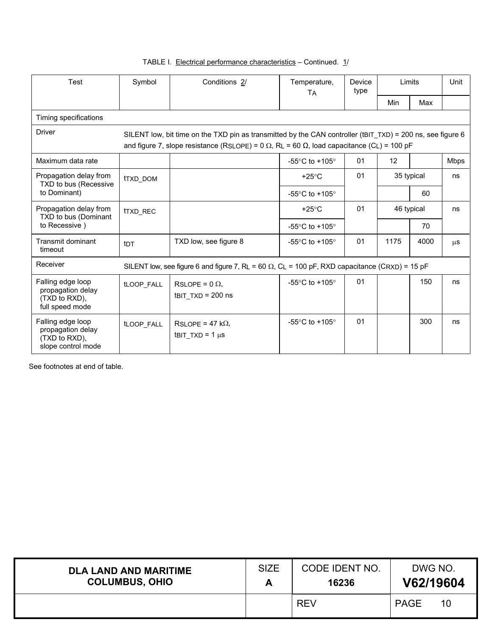| Test                                                                          | Symbol                                                                                                                                                                                                                 | Conditions 2/                                                                                         | Temperature,                                         | Device<br>type<br><b>TA</b> |      | Limits     | Unit        |  |  |  |
|-------------------------------------------------------------------------------|------------------------------------------------------------------------------------------------------------------------------------------------------------------------------------------------------------------------|-------------------------------------------------------------------------------------------------------|------------------------------------------------------|-----------------------------|------|------------|-------------|--|--|--|
|                                                                               |                                                                                                                                                                                                                        |                                                                                                       |                                                      |                             | Min  | Max        |             |  |  |  |
| Timing specifications                                                         |                                                                                                                                                                                                                        |                                                                                                       |                                                      |                             |      |            |             |  |  |  |
| <b>Driver</b>                                                                 | SILENT low, bit time on the TXD pin as transmitted by the CAN controller (tBIT TXD) = 200 ns, see figure 6<br>and figure 7, slope resistance (RSLOPE) = $0 \Omega$ , RL = 60 $\Omega$ , load capacitance (CL) = 100 pF |                                                                                                       |                                                      |                             |      |            |             |  |  |  |
| Maximum data rate                                                             |                                                                                                                                                                                                                        |                                                                                                       | -55 $\degree$ C to +105 $\degree$                    | 01                          | 12   |            | <b>Mbps</b> |  |  |  |
| Propagation delay from<br>TXD to bus (Recessive                               | <b>tTXD DOM</b>                                                                                                                                                                                                        |                                                                                                       | $+25^{\circ}$ C                                      | 01                          |      | 35 typical | ns          |  |  |  |
| to Dominant)                                                                  |                                                                                                                                                                                                                        |                                                                                                       | -55 $\degree$ C to +105 $\degree$                    |                             |      | 60         |             |  |  |  |
| Propagation delay from<br>TXD to bus (Dominant                                | <b>tTXD REC</b>                                                                                                                                                                                                        |                                                                                                       | $+25^{\circ}$ C                                      | 01                          |      | 46 typical | ns          |  |  |  |
| to Recessive)                                                                 |                                                                                                                                                                                                                        |                                                                                                       | -55 $\mathrm{^{\circ}C}$ to +105 $\mathrm{^{\circ}}$ |                             |      | 70         |             |  |  |  |
| Transmit dominant<br>timeout                                                  | tnt                                                                                                                                                                                                                    | TXD low, see figure 8                                                                                 | -55 $\degree$ C to +105 $\degree$                    | 01                          | 1175 | 4000       | $\mu$ s     |  |  |  |
| Receiver                                                                      |                                                                                                                                                                                                                        | SILENT low, see figure 6 and figure 7, RL = 60 $\Omega$ , CL = 100 pF, RXD capacitance (CRXD) = 15 pF |                                                      |                             |      |            |             |  |  |  |
| Falling edge loop<br>propagation delay<br>(TXD to RXD),<br>full speed mode    | tLOOP FALL                                                                                                                                                                                                             | RSLOPE = $0 \Omega$ .<br>$t$ BIT TXD = 200 ns                                                         | -55 $\mathrm{^{\circ}C}$ to +105 $\mathrm{^{\circ}}$ | 01                          |      | 150        | ns          |  |  |  |
| Falling edge loop<br>propagation delay<br>(TXD to RXD),<br>slope control mode | tLOOP_FALL                                                                                                                                                                                                             | $RSLOPE = 47 k\Omega$<br>tBIT TXD = $1 \mu s$                                                         | -55 $\mathrm{^{\circ}C}$ to +105 $\mathrm{^{\circ}}$ | 01                          |      | 300        | ns          |  |  |  |

| <b>DLA LAND AND MARITIME</b> | <b>SIZE</b> | CODE IDENT NO. | DWG NO.           |
|------------------------------|-------------|----------------|-------------------|
| <b>COLUMBUS, OHIO</b>        | Ē           | 16236          | V62/19604         |
|                              |             | <b>REV</b>     | <b>PAGE</b><br>10 |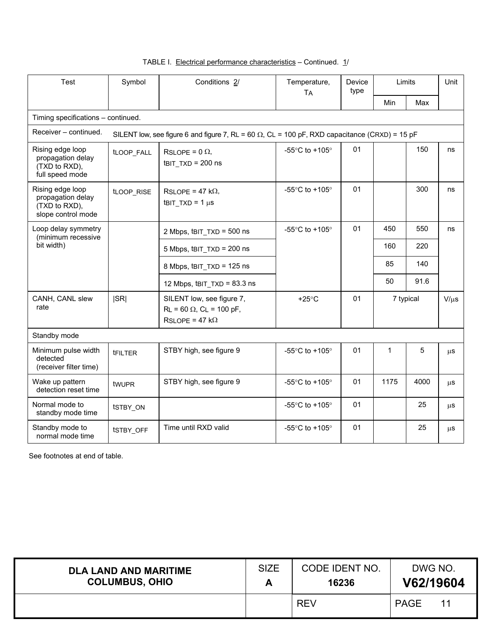| Test                                                                         | Symbol                                                                                                | Conditions 2/                                                                            | Temperature,<br>Device<br>type<br><b>TA</b>          |    |              | Limits    | Unit      |  |  |  |
|------------------------------------------------------------------------------|-------------------------------------------------------------------------------------------------------|------------------------------------------------------------------------------------------|------------------------------------------------------|----|--------------|-----------|-----------|--|--|--|
|                                                                              |                                                                                                       |                                                                                          |                                                      |    | Min          | Max       |           |  |  |  |
| Timing specifications - continued.                                           |                                                                                                       |                                                                                          |                                                      |    |              |           |           |  |  |  |
| Receiver – continued.                                                        | SILENT low, see figure 6 and figure 7, RL = 60 $\Omega$ , CL = 100 pF, RXD capacitance (CRXD) = 15 pF |                                                                                          |                                                      |    |              |           |           |  |  |  |
| Rising edge loop<br>propagation delay<br>(TXD to RXD),<br>full speed mode    | tLOOP FALL                                                                                            | RSLOPE = $0 \Omega$ ,<br>$t$ BIT TXD = 200 ns                                            | -55°C to +105°                                       | 01 |              | 150       | ns        |  |  |  |
| Rising edge loop<br>propagation delay<br>(TXD to RXD),<br>slope control mode | tLOOP RISE                                                                                            | RSLOPE = 47 k $\Omega$ ,<br>tBIT $TXD = 1 \mu s$                                         | -55 $\mathrm{^{\circ}C}$ to +105 $\mathrm{^{\circ}}$ | 01 |              | 300       | ns        |  |  |  |
| Loop delay symmetry<br>(minimum recessive<br>bit width)                      |                                                                                                       | 2 Mbps, tBIT TXD = 500 ns                                                                | -55 $\mathrm{^{\circ}C}$ to +105 $\mathrm{^{\circ}}$ | 01 | 450          | 550       | ns        |  |  |  |
|                                                                              |                                                                                                       | 5 Mbps, tBIT TXD = 200 ns                                                                |                                                      |    | 160          | 220       |           |  |  |  |
|                                                                              |                                                                                                       | 8 Mbps, tBIT TXD = 125 ns                                                                |                                                      |    | 85           | 140       |           |  |  |  |
|                                                                              |                                                                                                       | 12 Mbps, tBIT_TXD = 83.3 ns                                                              |                                                      |    | 50           | 91.6      |           |  |  |  |
| CANH, CANL slew<br>rate                                                      | SR                                                                                                    | SILENT low, see figure 7,<br>$RL = 60 \Omega$ , $CL = 100 pF$ ,<br>$RSLOPE = 47 k\Omega$ | $+25^{\circ}$ C                                      | 01 |              | 7 typical | $V/\mu s$ |  |  |  |
| Standby mode                                                                 |                                                                                                       |                                                                                          |                                                      |    |              |           |           |  |  |  |
| Minimum pulse width<br>detected<br>(receiver filter time)                    | <b>tFILTER</b>                                                                                        | STBY high, see figure 9                                                                  | -55°C to +105°                                       | 01 | $\mathbf{1}$ | 5         | μS        |  |  |  |
| Wake up pattern<br>detection reset time                                      | twuPR                                                                                                 | STBY high, see figure 9                                                                  | -55 $\degree$ C to +105 $\degree$                    | 01 | 1175         | 4000      | μS        |  |  |  |
| Normal mode to<br>standby mode time                                          | tSTBY_ON                                                                                              |                                                                                          | -55 $\mathrm{^{\circ}C}$ to +105 $\mathrm{^{\circ}}$ | 01 |              | 25        | μS        |  |  |  |
| Standby mode to<br>normal mode time                                          | tSTBY_OFF                                                                                             | Time until RXD valid                                                                     | -55°C to +105°                                       | 01 |              | 25        | μS        |  |  |  |

| <b>DLA LAND AND MARITIME</b> | <b>SIZE</b> | CODE IDENT NO. | DWG NO.           |
|------------------------------|-------------|----------------|-------------------|
| <b>COLUMBUS, OHIO</b>        |             | 16236          | V62/19604         |
|                              |             | <b>REV</b>     | <b>PAGE</b><br>11 |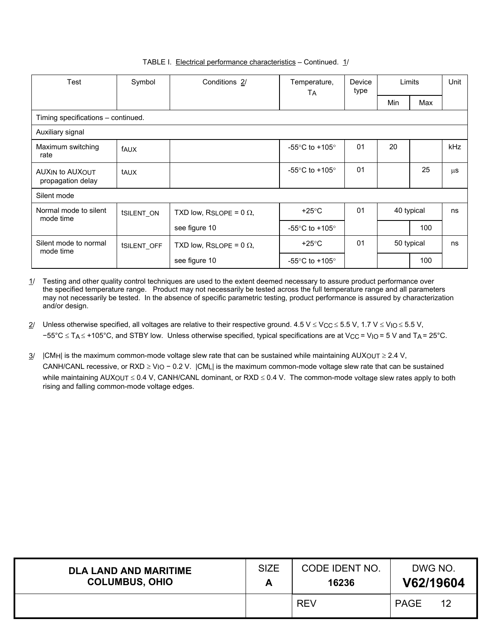| Test                                        | Symbol                    | Conditions 2/                  | Temperature,<br>TА                | Device<br>type |            | Limits     | Unit    |
|---------------------------------------------|---------------------------|--------------------------------|-----------------------------------|----------------|------------|------------|---------|
|                                             |                           |                                |                                   |                | Min        | Max        |         |
| Timing specifications - continued.          |                           |                                |                                   |                |            |            |         |
| Auxiliary signal                            |                           |                                |                                   |                |            |            |         |
| Maximum switching<br>rate                   | fAUX                      |                                | -55 $\degree$ C to +105 $\degree$ | 01             | 20         |            | kHz     |
| <b>AUXIN to AUXOUT</b><br>propagation delay | taux                      |                                | -55 $\degree$ C to +105 $\degree$ | 01             |            | 25         | $\mu$ s |
| Silent mode                                 |                           |                                |                                   |                |            |            |         |
| Normal mode to silent<br>mode time          | <b>ISILENT ON</b>         | TXD low, RSLOPE = $0 \Omega$ , | $+25^{\circ}$ C                   | 01             | 40 typical |            | ns      |
|                                             |                           | see figure 10                  | -55 $\degree$ C to +105 $\degree$ |                |            | 100        |         |
| Silent mode to normal<br>mode time          | <b><i>ISILENT OFF</i></b> | TXD low, RSLOPE = $0 \Omega$ , | $+25^{\circ}$ C                   | 01             |            | 50 typical | ns      |
|                                             |                           | see figure 10                  | -55 $\degree$ C to +105 $\degree$ |                |            | 100        |         |

 $1/$  Testing and other quality control techniques are used to the extent deemed necessary to assure product performance over the specified temperature range. Product may not necessarily be tested across the full temperature range and all parameters may not necessarily be tested. In the absence of specific parametric testing, product performance is assured by characterization and/or design.

- 2/ Unless otherwise specified, all voltages are relative to their respective ground. 4.5 V  $\leq$  V<sub>CC</sub>  $\leq$  5.5 V, 1.7 V  $\leq$  V<sub>IO</sub>  $\leq$  5.5 V, −55°C ≤ TA ≤ +105°C, and STBY low. Unless otherwise specified, typical specifications are at V<sub>CC</sub> = V<sub>IO</sub> = 5 V and T<sub>A</sub> = 25°C.
- $3/$  |CMH| is the maximum common-mode voltage slew rate that can be sustained while maintaining AUXOUT  $\geq$  2.4 V, CANH/CANL recessive, or RXD ≥ VIO − 0.2 V. |CML| is the maximum common-mode voltage slew rate that can be sustained while maintaining AUXOUT ≤ 0.4 V, CANH/CANL dominant, or RXD ≤ 0.4 V. The common-mode voltage slew rates apply to both rising and falling common-mode voltage edges.

| <b>DLA LAND AND MARITIME</b> | <b>SIZE</b> | CODE IDENT NO. | DWG NO.           |  |
|------------------------------|-------------|----------------|-------------------|--|
| <b>COLUMBUS, OHIO</b>        | Ē           | 16236          | V62/19604         |  |
|                              |             | <b>REV</b>     | <b>PAGE</b><br>12 |  |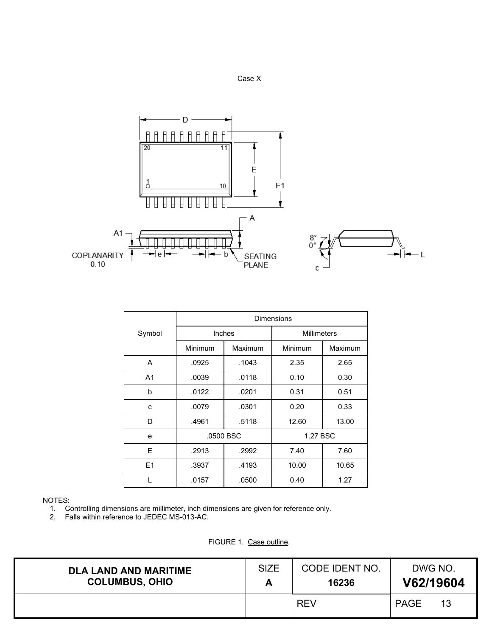



|                | <b>Dimensions</b> |           |                    |         |  |  |  |
|----------------|-------------------|-----------|--------------------|---------|--|--|--|
| Symbol         |                   | Inches    | <b>Millimeters</b> |         |  |  |  |
|                | Minimum           | Maximum   | Minimum            | Maximum |  |  |  |
| A              | .0925             | .1043     | 2.35               | 2.65    |  |  |  |
| A <sub>1</sub> | .0039             | .0118     | 0.10               | 0.30    |  |  |  |
| b              | .0122             | .0201     | 0.31               | 0.51    |  |  |  |
| C              | .0079             | .0301     | 0.20               | 0.33    |  |  |  |
| D              | .4961             | .5118     | 12.60              | 13.00   |  |  |  |
| e              |                   | .0500 BSC | 1.27 BSC           |         |  |  |  |
| E              | .2913             | .2992     | 7.40               | 7.60    |  |  |  |
| E1             | .3937             | .4193     | 10.00              | 10.65   |  |  |  |
|                | .0157             | .0500     | 0.40               | 1.27    |  |  |  |

# NOTES:

1. Controlling dimensions are millimeter, inch dimensions are given for reference only.

2. Falls within reference to JEDEC MS-013-AC.

FIGURE 1. Case outline.

| <b>DLA LAND AND MARITIME</b> | <b>SIZE</b> | CODE IDENT NO. | DWG NO.           |
|------------------------------|-------------|----------------|-------------------|
| <b>COLUMBUS, OHIO</b>        |             | 16236          | V62/19604         |
|                              |             | <b>REV</b>     | <b>PAGE</b><br>13 |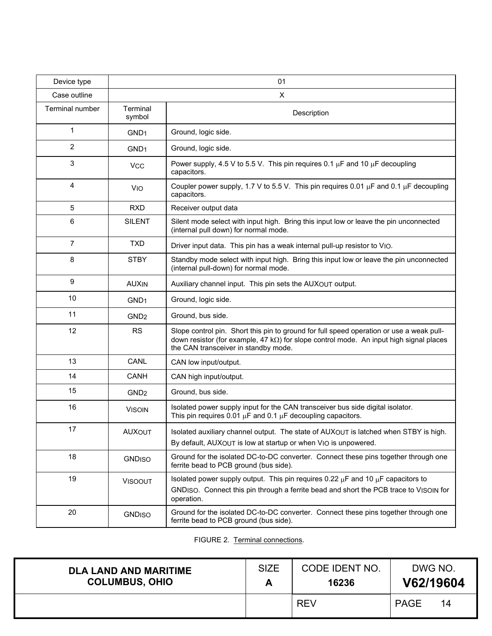| Device type     |                    | 01                                                                                                                                                                                                                                 |
|-----------------|--------------------|------------------------------------------------------------------------------------------------------------------------------------------------------------------------------------------------------------------------------------|
| Case outline    |                    | X                                                                                                                                                                                                                                  |
| Terminal number | Terminal<br>symbol | Description                                                                                                                                                                                                                        |
| 1               | GND <sub>1</sub>   | Ground, logic side.                                                                                                                                                                                                                |
| 2               | GND <sub>1</sub>   | Ground, logic side.                                                                                                                                                                                                                |
| 3               | <b>VCC</b>         | Power supply, 4.5 V to 5.5 V. This pin requires 0.1 $\mu$ F and 10 $\mu$ F decoupling<br>capacitors.                                                                                                                               |
| 4               | <b>VIO</b>         | Coupler power supply, 1.7 V to 5.5 V. This pin requires 0.01 $\mu$ F and 0.1 $\mu$ F decoupling<br>capacitors.                                                                                                                     |
| 5               | <b>RXD</b>         | Receiver output data                                                                                                                                                                                                               |
| 6               | <b>SILENT</b>      | Silent mode select with input high. Bring this input low or leave the pin unconnected<br>(internal pull down) for normal mode.                                                                                                     |
| $\overline{7}$  | <b>TXD</b>         | Driver input data. This pin has a weak internal pull-up resistor to VIO.                                                                                                                                                           |
| 8               | <b>STBY</b>        | Standby mode select with input high. Bring this input low or leave the pin unconnected<br>(internal pull-down) for normal mode.                                                                                                    |
| 9               | <b>AUXIN</b>       | Auxiliary channel input. This pin sets the AUXOUT output.                                                                                                                                                                          |
| 10              | GND <sub>1</sub>   | Ground, logic side.                                                                                                                                                                                                                |
| 11              | GND <sub>2</sub>   | Ground, bus side.                                                                                                                                                                                                                  |
| 12              | <b>RS</b>          | Slope control pin. Short this pin to ground for full speed operation or use a weak pull-<br>down resistor (for example, 47 $k\Omega$ ) for slope control mode. An input high signal places<br>the CAN transceiver in standby mode. |
| 13              | CANL               | CAN low input/output.                                                                                                                                                                                                              |
| 14              | <b>CANH</b>        | CAN high input/output.                                                                                                                                                                                                             |
| 15              | GND <sub>2</sub>   | Ground, bus side.                                                                                                                                                                                                                  |
| 16              | <b>VISOIN</b>      | Isolated power supply input for the CAN transceiver bus side digital isolator.<br>This pin requires 0.01 $\mu$ F and 0.1 $\mu$ F decoupling capacitors.                                                                            |
| 17              | <b>AUXOUT</b>      | Isolated auxiliary channel output. The state of AUXOUT is latched when STBY is high.<br>By default, AUXOUT is low at startup or when VIO is unpowered.                                                                             |
| 18              | <b>GNDISO</b>      | Ground for the isolated DC-to-DC converter. Connect these pins together through one<br>ferrite bead to PCB ground (bus side).                                                                                                      |
| 19              | <b>VISOOUT</b>     | Isolated power supply output. This pin requires 0.22 $\mu$ F and 10 $\mu$ F capacitors to<br>GNDISO. Connect this pin through a ferrite bead and short the PCB trace to VISOIN for<br>operation.                                   |
| 20              | <b>GNDISO</b>      | Ground for the isolated DC-to-DC converter. Connect these pins together through one<br>ferrite bead to PCB ground (bus side).                                                                                                      |

FIGURE 2. Terminal connections.

| <b>DLA LAND AND MARITIME</b> | <b>SIZE</b> | CODE IDENT NO. | DWG NO.           |
|------------------------------|-------------|----------------|-------------------|
| <b>COLUMBUS, OHIO</b>        |             | 16236          | V62/19604         |
|                              |             | <b>REV</b>     | <b>PAGE</b><br>14 |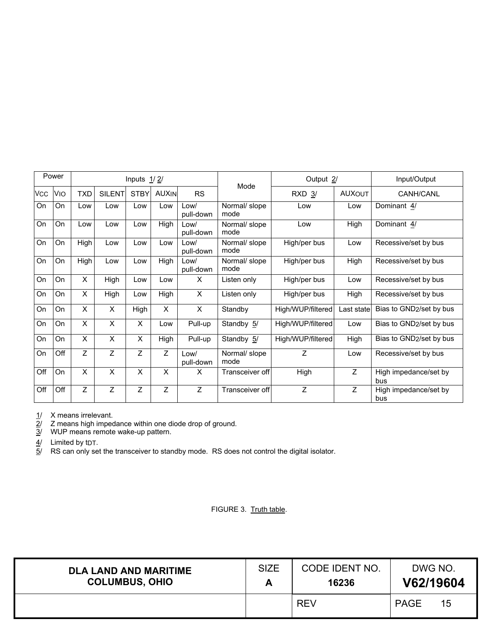|            | Power            |                |                | Inputs $1/2/$  |                |                   |                       | Output 2/         |               | Input/Output                 |
|------------|------------------|----------------|----------------|----------------|----------------|-------------------|-----------------------|-------------------|---------------|------------------------------|
| <b>VCC</b> | VIO              | <b>TXD</b>     | <b>SILENT</b>  | <b>STBY</b>    | <b>AUXIN</b>   | <b>RS</b>         | Mode                  | $RXD$ $3/$        | <b>AUXOUT</b> | CANH/CANL                    |
| On         | On               | Low            | Low            | Low            | Low            | Low/<br>pull-down | Normal/ slope<br>mode | Low               | Low           | Dominant 4/                  |
| On         | <b>On</b>        | Low            | Low            | Low            | High           | Low/<br>pull-down | Normal/ slope<br>mode | Low               | High          | Dominant 4/                  |
| <b>On</b>  | On               | High           | Low            | Low            | Low            | Low/<br>pull-down | Normal/ slope<br>mode | High/per bus      | Low           | Recessive/set by bus         |
| On         | On               | High           | Low            | Low            | High           | Low/<br>pull-down | Normal/ slope<br>mode | High/per bus      | High          | Recessive/set by bus         |
| On         | <b>On</b>        | X              | High           | Low            | Low            | X                 | Listen only           | High/per bus      | Low           | Recessive/set by bus         |
| On         | On               | X              | High           | Low            | High           | $\pmb{\times}$    | Listen only           | High/per bus      | High          | Recessive/set by bus         |
| On         | On               | X              | X              | High           | $\times$       | X                 | Standby               | High/WUP/filtered | Last state    | Bias to GND2/set by bus      |
| On         | On               | X              | X              | X              | Low            | Pull-up           | Standby 5/            | High/WUP/filtered | Low           | Bias to GND2/set by bus      |
| On         | <b>On</b>        | X              | X              | X              | High           | Pull-up           | Standby 5/            | High/WUP/filtered | High          | Bias to GND2/set by bus      |
| On         | $\overline{Off}$ | $\overline{Z}$ | $\overline{z}$ | Ζ              | $\overline{Z}$ | Low/<br>pull-down | Normal/ slope<br>mode | $\overline{z}$    | Low           | Recessive/set by bus         |
| Off        | On               | X              | X              | $\pmb{\times}$ | X              | X                 | Transceiver off       | High              | Z             | High impedance/set by<br>bus |
| Off        | Off              | Ζ              | Z              | Ζ              | Ζ              | Z                 | Transceiver off       | Z                 | Z             | High impedance/set by<br>bus |

<u>1</u>/ X means irrelevant.

 $2/$  Z means high impedance within one diode drop of ground.

3/ WUP means remote wake-up pattern.

<u>4</u>/ Limited by tDT.

 $5/$  RS can only set the transceiver to standby mode. RS does not control the digital isolator.

FIGURE 3. Truth table.

| <b>DLA LAND AND MARITIME</b> | <b>SIZE</b> | CODE IDENT NO. | DWG NO.           |
|------------------------------|-------------|----------------|-------------------|
| <b>COLUMBUS, OHIO</b>        |             | 16236          | V62/19604         |
|                              |             | <b>REV</b>     | <b>PAGE</b><br>15 |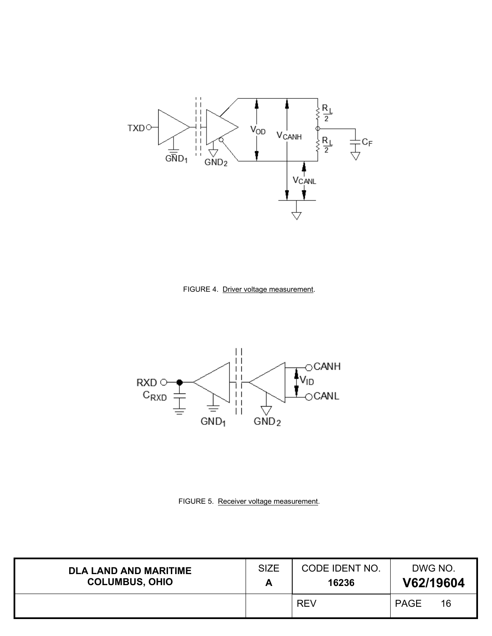

FIGURE 4. Driver voltage measurement.



FIGURE 5. Receiver voltage measurement.

| <b>DLA LAND AND MARITIME</b> | <b>SIZE</b> | CODE IDENT NO. | DWG NO.           |
|------------------------------|-------------|----------------|-------------------|
| <b>COLUMBUS, OHIO</b>        |             | 16236          | V62/19604         |
|                              |             | <b>REV</b>     | <b>PAGE</b><br>16 |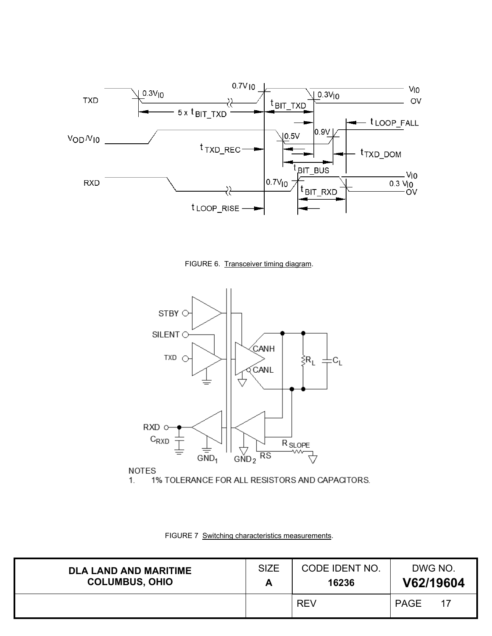

FIGURE 6. Transceiver timing diagram.



1% TOLERANCE FOR ALL RESISTORS AND CAPACITORS.  $1.$ 

FIGURE 7 Switching characteristics measurements.

| <b>DLA LAND AND MARITIME</b> | <b>SIZE</b> | CODE IDENT NO. | DWG NO.           |
|------------------------------|-------------|----------------|-------------------|
| <b>COLUMBUS, OHIO</b>        | A           | 16236          | V62/19604         |
|                              |             | <b>REV</b>     | <b>PAGE</b><br>17 |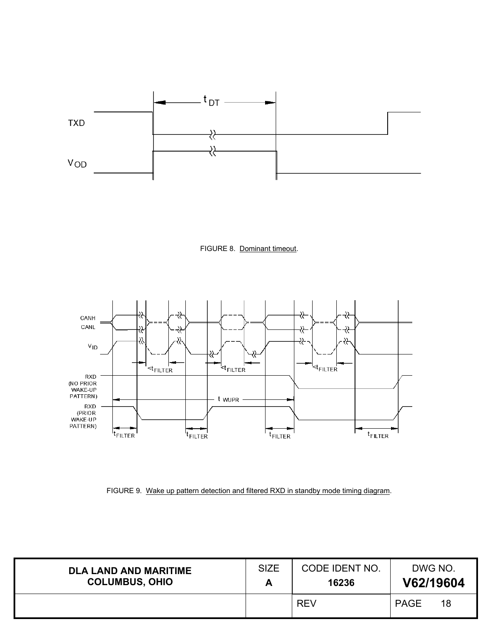





FIGURE 9. Wake up pattern detection and filtered RXD in standby mode timing diagram.

| <b>DLA LAND AND MARITIME</b> | <b>SIZE</b> | CODE IDENT NO. | DWG NO.           |
|------------------------------|-------------|----------------|-------------------|
| <b>COLUMBUS, OHIO</b>        | ┍┑          | 16236          | V62/19604         |
|                              |             | <b>REV</b>     | 18<br><b>PAGE</b> |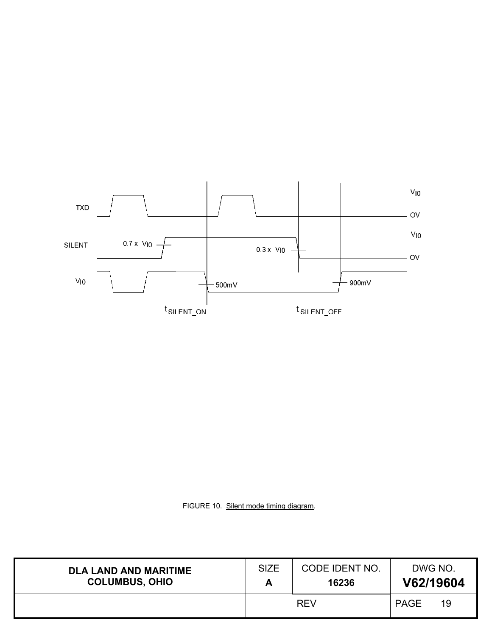

FIGURE 10. Silent mode timing diagram.

| <b>DLA LAND AND MARITIME</b> | <b>SIZE</b> | CODE IDENT NO. | DWG NO.           |
|------------------------------|-------------|----------------|-------------------|
| <b>COLUMBUS, OHIO</b>        |             | 16236          | V62/19604         |
|                              |             | <b>REV</b>     | <b>PAGE</b><br>19 |